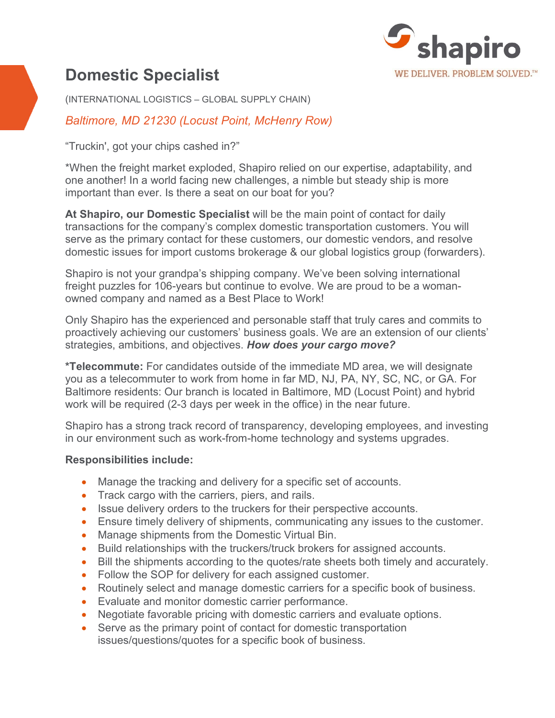

# **Domestic Specialist**

(INTERNATIONAL LOGISTICS – GLOBAL SUPPLY CHAIN)

*Baltimore, MD 21230 (Locust Point, McHenry Row)*

"Truckin', got your chips cashed in?"

\*When the freight market exploded, Shapiro relied on our expertise, adaptability, and one another! In a world facing new challenges, a nimble but steady ship is more important than ever. Is there a seat on our boat for you?

**At Shapiro, our Domestic Specialist** will be the main point of contact for daily transactions for the company's complex domestic transportation customers. You will serve as the primary contact for these customers, our domestic vendors, and resolve domestic issues for import customs brokerage & our global logistics group (forwarders).

Shapiro is not your grandpa's shipping company. We've been solving international freight puzzles for 106-years but continue to evolve. We are proud to be a womanowned company and named as a Best Place to Work!

Only Shapiro has the experienced and personable staff that truly cares and commits to proactively achieving our customers' business goals. We are an extension of our clients' strategies, ambitions, and objectives. *How does your cargo move?*

**\*Telecommute:** For candidates outside of the immediate MD area, we will designate you as a telecommuter to work from home in far MD, NJ, PA, NY, SC, NC, or GA. For Baltimore residents: Our branch is located in Baltimore, MD (Locust Point) and hybrid work will be required (2-3 days per week in the office) in the near future.

Shapiro has a strong track record of transparency, developing employees, and investing in our environment such as work-from-home technology and systems upgrades.

## **Responsibilities include:**

- Manage the tracking and delivery for a specific set of accounts.
- Track cargo with the carriers, piers, and rails.
- Issue delivery orders to the truckers for their perspective accounts.
- Ensure timely delivery of shipments, communicating any issues to the customer.
- Manage shipments from the Domestic Virtual Bin.
- Build relationships with the truckers/truck brokers for assigned accounts.
- Bill the shipments according to the quotes/rate sheets both timely and accurately.
- Follow the SOP for delivery for each assigned customer.
- Routinely select and manage domestic carriers for a specific book of business.
- Evaluate and monitor domestic carrier performance.
- Negotiate favorable pricing with domestic carriers and evaluate options.
- Serve as the primary point of contact for domestic transportation issues/questions/quotes for a specific book of business.